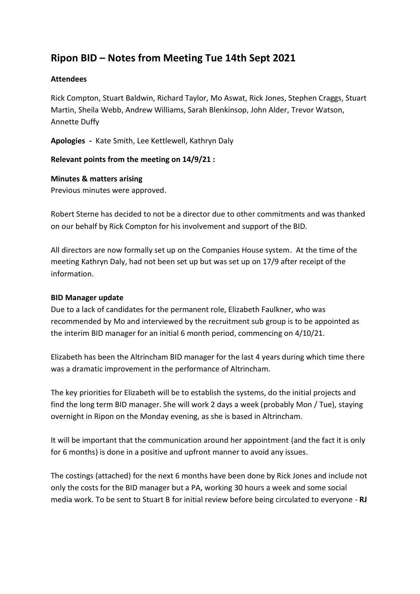# **Ripon BID – Notes from Meeting Tue 14th Sept 2021**

## **Attendees**

Rick Compton, Stuart Baldwin, Richard Taylor, Mo Aswat, Rick Jones, Stephen Craggs, Stuart Martin, Sheila Webb, Andrew Williams, Sarah Blenkinsop, John Alder, Trevor Watson, Annette Duffy

**Apologies -** Kate Smith, Lee Kettlewell, Kathryn Daly

#### **Relevant points from the meeting on 14/9/21 :**

#### **Minutes & matters arising**

Previous minutes were approved.

Robert Sterne has decided to not be a director due to other commitments and was thanked on our behalf by Rick Compton for his involvement and support of the BID.

All directors are now formally set up on the Companies House system. At the time of the meeting Kathryn Daly, had not been set up but was set up on 17/9 after receipt of the information.

#### **BID Manager update**

Due to a lack of candidates for the permanent role, Elizabeth Faulkner, who was recommended by Mo and interviewed by the recruitment sub group is to be appointed as the interim BID manager for an initial 6 month period, commencing on 4/10/21.

Elizabeth has been the Altrincham BID manager for the last 4 years during which time there was a dramatic improvement in the performance of Altrincham.

The key priorities for Elizabeth will be to establish the systems, do the initial projects and find the long term BID manager. She will work 2 days a week (probably Mon / Tue), staying overnight in Ripon on the Monday evening, as she is based in Altrincham.

It will be important that the communication around her appointment (and the fact it is only for 6 months) is done in a positive and upfront manner to avoid any issues.

The costings (attached) for the next 6 months have been done by Rick Jones and include not only the costs for the BID manager but a PA, working 30 hours a week and some social media work. To be sent to Stuart B for initial review before being circulated to everyone - **RJ**